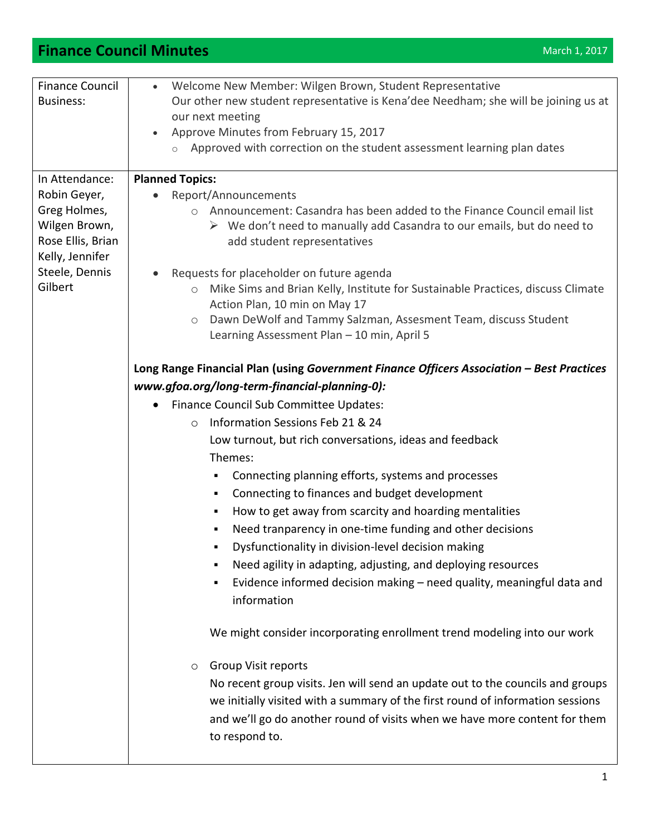## **Finance Council Minutes** March 2017 **March 1, 2017**

| <b>Finance Council</b>    | Welcome New Member: Wilgen Brown, Student Representative<br>$\bullet$                                                                                                                                                       |  |  |
|---------------------------|-----------------------------------------------------------------------------------------------------------------------------------------------------------------------------------------------------------------------------|--|--|
| <b>Business:</b>          | Our other new student representative is Kena'dee Needham; she will be joining us at<br>our next meeting<br>Approve Minutes from February 15, 2017<br>Approved with correction on the student assessment learning plan dates |  |  |
|                           |                                                                                                                                                                                                                             |  |  |
|                           |                                                                                                                                                                                                                             |  |  |
|                           |                                                                                                                                                                                                                             |  |  |
|                           |                                                                                                                                                                                                                             |  |  |
| In Attendance:            | <b>Planned Topics:</b>                                                                                                                                                                                                      |  |  |
| Robin Geyer,              | Report/Announcements                                                                                                                                                                                                        |  |  |
| Greg Holmes,              | Announcement: Casandra has been added to the Finance Council email list<br>$\circ$                                                                                                                                          |  |  |
| Wilgen Brown,             | $\triangleright$ We don't need to manually add Casandra to our emails, but do need to                                                                                                                                       |  |  |
| Rose Ellis, Brian         | add student representatives                                                                                                                                                                                                 |  |  |
| Kelly, Jennifer           |                                                                                                                                                                                                                             |  |  |
| Steele, Dennis<br>Gilbert | Requests for placeholder on future agenda                                                                                                                                                                                   |  |  |
|                           | Mike Sims and Brian Kelly, Institute for Sustainable Practices, discuss Climate<br>$\bigcirc$                                                                                                                               |  |  |
|                           | Action Plan, 10 min on May 17                                                                                                                                                                                               |  |  |
|                           | Dawn DeWolf and Tammy Salzman, Assesment Team, discuss Student<br>$\circ$                                                                                                                                                   |  |  |
|                           | Learning Assessment Plan - 10 min, April 5                                                                                                                                                                                  |  |  |
|                           |                                                                                                                                                                                                                             |  |  |
|                           | Long Range Financial Plan (using Government Finance Officers Association - Best Practices                                                                                                                                   |  |  |
|                           | www.gfoa.org/long-term-financial-planning-0):                                                                                                                                                                               |  |  |
|                           | Finance Council Sub Committee Updates:                                                                                                                                                                                      |  |  |
|                           | Information Sessions Feb 21 & 24<br>$\circ$                                                                                                                                                                                 |  |  |
|                           | Low turnout, but rich conversations, ideas and feedback                                                                                                                                                                     |  |  |
|                           | Themes:                                                                                                                                                                                                                     |  |  |
|                           | Connecting planning efforts, systems and processes<br>٠                                                                                                                                                                     |  |  |
|                           | Connecting to finances and budget development<br>٠                                                                                                                                                                          |  |  |
|                           | How to get away from scarcity and hoarding mentalities<br>٠                                                                                                                                                                 |  |  |
|                           | Need tranparency in one-time funding and other decisions                                                                                                                                                                    |  |  |
|                           | ٠                                                                                                                                                                                                                           |  |  |
|                           | Dysfunctionality in division-level decision making                                                                                                                                                                          |  |  |
|                           | Need agility in adapting, adjusting, and deploying resources                                                                                                                                                                |  |  |
|                           | Evidence informed decision making - need quality, meaningful data and                                                                                                                                                       |  |  |
|                           | information                                                                                                                                                                                                                 |  |  |
|                           |                                                                                                                                                                                                                             |  |  |
|                           | We might consider incorporating enrollment trend modeling into our work                                                                                                                                                     |  |  |
|                           |                                                                                                                                                                                                                             |  |  |
|                           | <b>Group Visit reports</b><br>$\circ$                                                                                                                                                                                       |  |  |
|                           | No recent group visits. Jen will send an update out to the councils and groups                                                                                                                                              |  |  |
|                           | we initially visited with a summary of the first round of information sessions                                                                                                                                              |  |  |
|                           | and we'll go do another round of visits when we have more content for them                                                                                                                                                  |  |  |
|                           | to respond to.                                                                                                                                                                                                              |  |  |
|                           |                                                                                                                                                                                                                             |  |  |
|                           |                                                                                                                                                                                                                             |  |  |